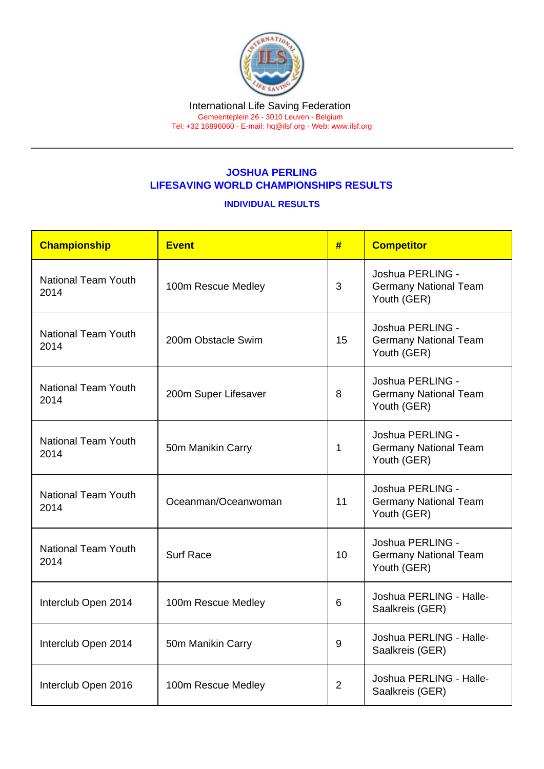## JOSHUA PERLING LIFESAVING WORLD CHAMPIONSHIPS RESULTS

INDIVIDUAL RESULTS

| Championship                       | Event                | #              | <b>Competitor</b>                                               |
|------------------------------------|----------------------|----------------|-----------------------------------------------------------------|
| National Team Youth<br>2014        | 100m Rescue Medley   | 3              | Joshua PERLING -<br><b>Germany National Team</b><br>Youth (GER) |
| <b>National Team Youth</b><br>2014 | 200m Obstacle Swim   | 15             | Joshua PERLING -<br>Germany National Team<br>Youth (GER)        |
| National Team Youth<br>2014        | 200m Super Lifesaver | 8              | Joshua PERLING -<br><b>Germany National Team</b><br>Youth (GER) |
| <b>National Team Youth</b><br>2014 | 50m Manikin Carry    | 1              | Joshua PERLING -<br><b>Germany National Team</b><br>Youth (GER) |
| <b>National Team Youth</b><br>2014 | Oceanman/Oceanwoman  | 11             | Joshua PERLING -<br><b>Germany National Team</b><br>Youth (GER) |
| <b>National Team Youth</b><br>2014 | <b>Surf Race</b>     | 10             | Joshua PERLING -<br>Germany National Team<br>Youth (GER)        |
| Interclub Open 2014                | 100m Rescue Medley   | 6              | Joshua PERLING - Halle-<br>Saalkreis (GER)                      |
| Interclub Open 2014                | 50m Manikin Carry    | 9              | Joshua PERLING - Halle-<br>Saalkreis (GER)                      |
| Interclub Open 2016                | 100m Rescue Medley   | $\overline{2}$ | Joshua PERLING - Halle-<br>Saalkreis (GER)                      |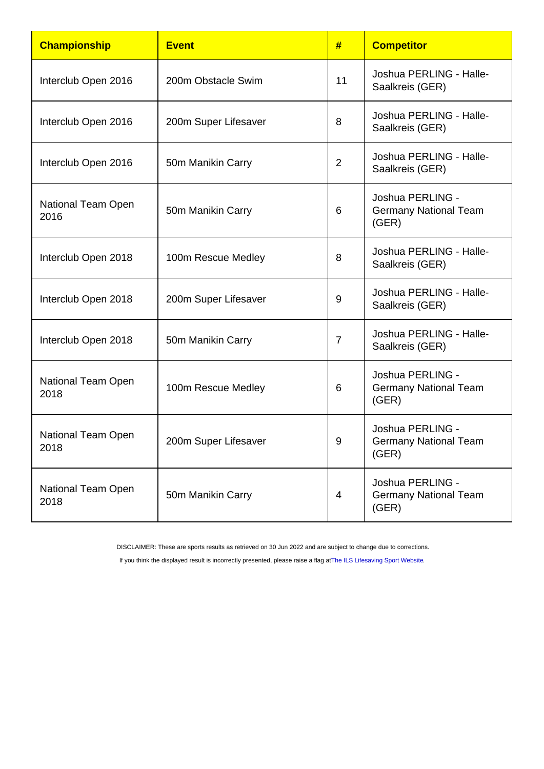| Championship                      | Event                | #              | <b>Competitor</b>                                         |
|-----------------------------------|----------------------|----------------|-----------------------------------------------------------|
| Interclub Open 2016               | 200m Obstacle Swim   | 11             | Joshua PERLING - Halle-<br>Saalkreis (GER)                |
| Interclub Open 2016               | 200m Super Lifesaver | 8              | Joshua PERLING - Halle-<br>Saalkreis (GER)                |
| Interclub Open 2016               | 50m Manikin Carry    | $\overline{2}$ | Joshua PERLING - Halle-<br>Saalkreis (GER)                |
| National Team Open<br>2016        | 50m Manikin Carry    | 6              | Joshua PERLING -<br><b>Germany National Team</b><br>(GER) |
| Interclub Open 2018               | 100m Rescue Medley   | 8              | Joshua PERLING - Halle-<br>Saalkreis (GER)                |
| Interclub Open 2018               | 200m Super Lifesaver | 9              | Joshua PERLING - Halle-<br>Saalkreis (GER)                |
| Interclub Open 2018               | 50m Manikin Carry    | $\overline{7}$ | Joshua PERLING - Halle-<br>Saalkreis (GER)                |
| National Team Open<br>2018        | 100m Rescue Medley   | 6              | Joshua PERLING -<br><b>Germany National Team</b><br>(GER) |
| <b>National Team Open</b><br>2018 | 200m Super Lifesaver | 9              | Joshua PERLING -<br><b>Germany National Team</b><br>(GER) |
| National Team Open<br>2018        | 50m Manikin Carry    | 4              | Joshua PERLING -<br><b>Germany National Team</b><br>(GER) |

DISCLAIMER: These are sports results as retrieved on 30 Jun 2022 and are subject to change due to corrections.

If you think the displayed result is incorrectly presented, please raise a flag at [The ILS Lifesaving Sport Website.](https://sport.ilsf.org)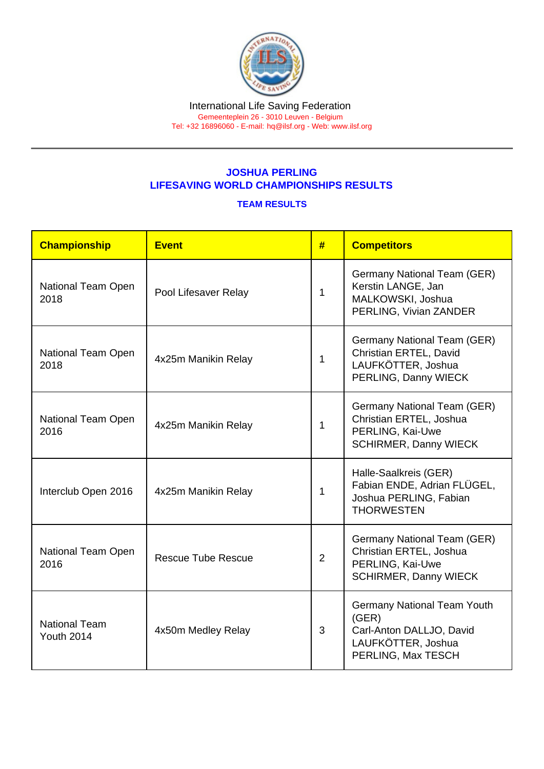## JOSHUA PERLING LIFESAVING WORLD CHAMPIONSHIPS RESULTS

## TEAM RESULTS

| Championship                              | <b>Event</b>              | #              | <b>Competitors</b>                                                                                                  |
|-------------------------------------------|---------------------------|----------------|---------------------------------------------------------------------------------------------------------------------|
| National Team Open<br>2018                | Pool Lifesaver Relay      | 1              | Germany National Team (GER)<br>Kerstin LANGE, Jan<br>MALKOWSKI, Joshua<br>PERLING, Vivian ZANDER                    |
| National Team Open<br>2018                | 4x25m Manikin Relay       | 1              | Germany National Team (GER)<br>Christian ERTEL, David<br>LAUFKÖTTER, Joshua<br>PERLING, Danny WIECK                 |
| National Team Open<br>2016                | 4x25m Manikin Relay       | $\mathbf{1}$   | Germany National Team (GER)<br>Christian ERTEL, Joshua<br>PERLING, Kai-Uwe<br><b>SCHIRMER, Danny WIECK</b>          |
| Interclub Open 2016                       | 4x25m Manikin Relay       | 1              | Halle-Saalkreis (GER)<br>Fabian ENDE, Adrian FLÜGEL,<br>Joshua PERLING, Fabian<br><b>THORWESTEN</b>                 |
| National Team Open<br>2016                | <b>Rescue Tube Rescue</b> | $\overline{2}$ | Germany National Team (GER)<br>Christian ERTEL, Joshua<br>PERLING, Kai-Uwe<br><b>SCHIRMER, Danny WIECK</b>          |
| <b>National Team</b><br><b>Youth 2014</b> | 4x50m Medley Relay        | 3              | <b>Germany National Team Youth</b><br>(GER)<br>Carl-Anton DALLJO, David<br>LAUFKÖTTER, Joshua<br>PERLING, Max TESCH |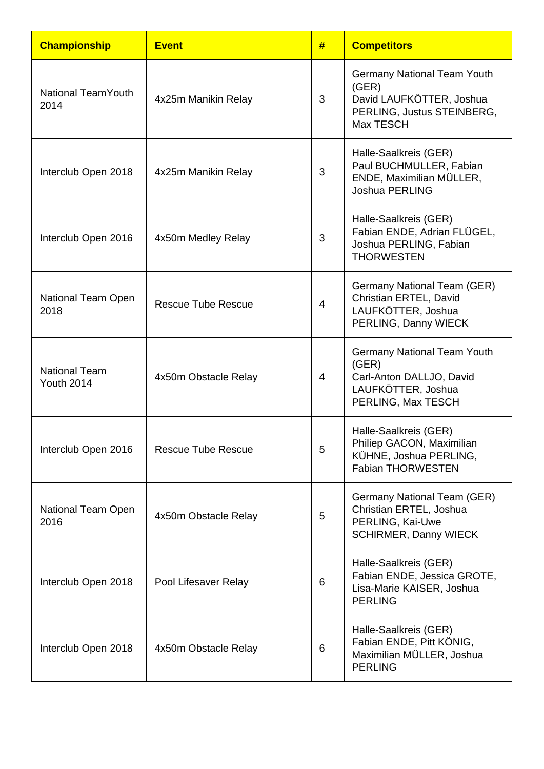| <b>Championship</b>                       | <b>Event</b>              | #              | <b>Competitors</b>                                                                                                 |
|-------------------------------------------|---------------------------|----------------|--------------------------------------------------------------------------------------------------------------------|
| <b>National Team Youth</b><br>2014        | 4x25m Manikin Relay       | 3              | Germany National Team Youth<br>(GER)<br>David LAUFKÖTTER, Joshua<br>PERLING, Justus STEINBERG,<br><b>Max TESCH</b> |
| Interclub Open 2018                       | 4x25m Manikin Relay       | 3              | Halle-Saalkreis (GER)<br>Paul BUCHMULLER, Fabian<br>ENDE, Maximilian MÜLLER,<br><b>Joshua PERLING</b>              |
| Interclub Open 2016                       | 4x50m Medley Relay        | 3              | Halle-Saalkreis (GER)<br>Fabian ENDE, Adrian FLÜGEL,<br>Joshua PERLING, Fabian<br><b>THORWESTEN</b>                |
| National Team Open<br>2018                | <b>Rescue Tube Rescue</b> | $\overline{4}$ | Germany National Team (GER)<br>Christian ERTEL, David<br>LAUFKÖTTER, Joshua<br>PERLING, Danny WIECK                |
| <b>National Team</b><br><b>Youth 2014</b> | 4x50m Obstacle Relay      | 4              | Germany National Team Youth<br>(GER)<br>Carl-Anton DALLJO, David<br>LAUFKÖTTER, Joshua<br>PERLING, Max TESCH       |
| Interclub Open 2016                       | <b>Rescue Tube Rescue</b> | 5              | Halle-Saalkreis (GER)<br>Philiep GACON, Maximilian<br>KÜHNE, Joshua PERLING,<br><b>Fabian THORWESTEN</b>           |
| National Team Open<br>2016                | 4x50m Obstacle Relay      | 5              | Germany National Team (GER)<br>Christian ERTEL, Joshua<br>PERLING, Kai-Uwe<br><b>SCHIRMER, Danny WIECK</b>         |
| Interclub Open 2018                       | Pool Lifesaver Relay      | 6              | Halle-Saalkreis (GER)<br>Fabian ENDE, Jessica GROTE,<br>Lisa-Marie KAISER, Joshua<br><b>PERLING</b>                |
| Interclub Open 2018                       | 4x50m Obstacle Relay      | 6              | Halle-Saalkreis (GER)<br>Fabian ENDE, Pitt KÖNIG,<br>Maximilian MÜLLER, Joshua<br><b>PERLING</b>                   |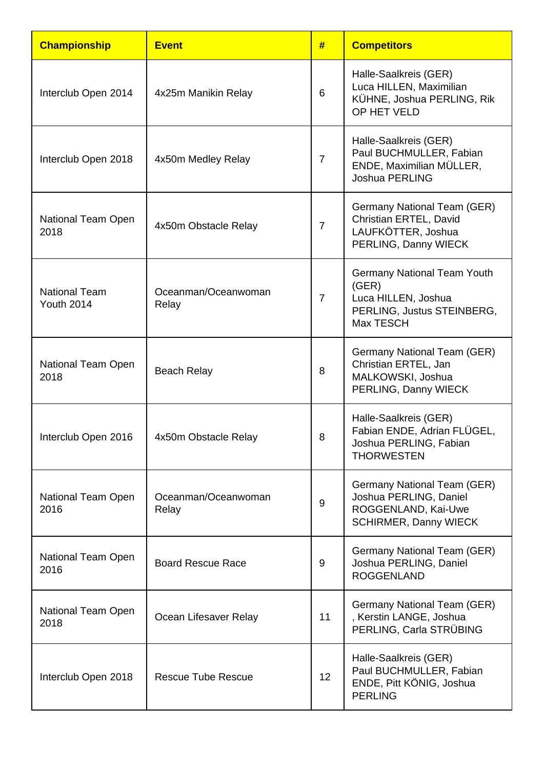| <b>Championship</b>                       | <b>Event</b>                 | #              | <b>Competitors</b>                                                                                            |
|-------------------------------------------|------------------------------|----------------|---------------------------------------------------------------------------------------------------------------|
| Interclub Open 2014                       | 4x25m Manikin Relay          | $6\phantom{1}$ | Halle-Saalkreis (GER)<br>Luca HILLEN, Maximilian<br>KÜHNE, Joshua PERLING, Rik<br>OP HET VELD                 |
| Interclub Open 2018                       | 4x50m Medley Relay           | $\overline{7}$ | Halle-Saalkreis (GER)<br>Paul BUCHMULLER, Fabian<br>ENDE, Maximilian MÜLLER,<br><b>Joshua PERLING</b>         |
| National Team Open<br>2018                | 4x50m Obstacle Relay         | $\overline{7}$ | Germany National Team (GER)<br>Christian ERTEL, David<br>LAUFKÖTTER, Joshua<br>PERLING, Danny WIECK           |
| <b>National Team</b><br><b>Youth 2014</b> | Oceanman/Oceanwoman<br>Relay | $\overline{7}$ | Germany National Team Youth<br>(GER)<br>Luca HILLEN, Joshua<br>PERLING, Justus STEINBERG,<br><b>Max TESCH</b> |
| National Team Open<br>2018                | <b>Beach Relay</b>           | 8              | Germany National Team (GER)<br>Christian ERTEL, Jan<br>MALKOWSKI, Joshua<br>PERLING, Danny WIECK              |
| Interclub Open 2016                       | 4x50m Obstacle Relay         | 8              | Halle-Saalkreis (GER)<br>Fabian ENDE, Adrian FLÜGEL,<br>Joshua PERLING, Fabian<br><b>THORWESTEN</b>           |
| National Team Open<br>2016                | Oceanman/Oceanwoman<br>Relay | $9\,$          | Germany National Team (GER)<br>Joshua PERLING, Daniel<br>ROGGENLAND, Kai-Uwe<br>SCHIRMER, Danny WIECK         |
| National Team Open<br>2016                | <b>Board Rescue Race</b>     | 9              | Germany National Team (GER)<br>Joshua PERLING, Daniel<br><b>ROGGENLAND</b>                                    |
| National Team Open<br>2018                | Ocean Lifesaver Relay        | 11             | Germany National Team (GER)<br>, Kerstin LANGE, Joshua<br>PERLING, Carla STRÜBING                             |
| Interclub Open 2018                       | <b>Rescue Tube Rescue</b>    | 12             | Halle-Saalkreis (GER)<br>Paul BUCHMULLER, Fabian<br>ENDE, Pitt KÖNIG, Joshua<br><b>PERLING</b>                |